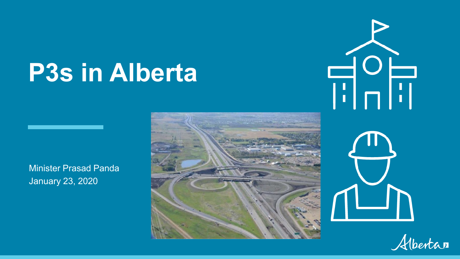# **P3s in Alberta**

Minister Prasad Panda January 23, 2020





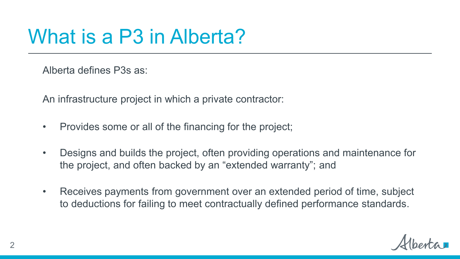## What is a P3 in Alberta?

Alberta defines P3s as:

An infrastructure project in which a private contractor:

- Provides some or all of the financing for the project;
- Designs and builds the project, often providing operations and maintenance for the project, and often backed by an "extended warranty"; and
- Receives payments from government over an extended period of time, subject to deductions for failing to meet contractually defined performance standards.

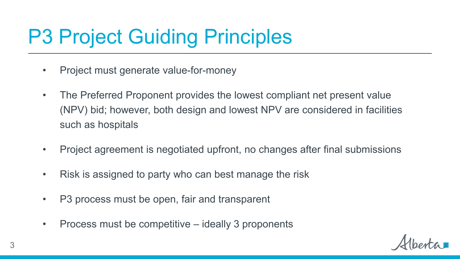## P3 Project Guiding Principles

- Project must generate value-for-money
- The Preferred Proponent provides the lowest compliant net present value (NPV) bid; however, both design and lowest NPV are considered in facilities such as hospitals
- Project agreement is negotiated upfront, no changes after final submissions
- Risk is assigned to party who can best manage the risk
- P3 process must be open, fair and transparent
- Process must be competitive ideally 3 proponents

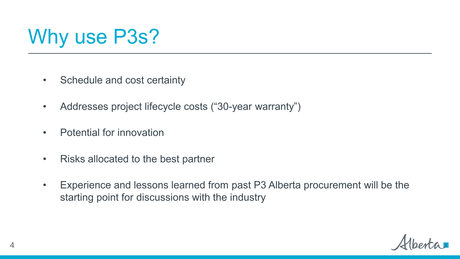

- Schedule and cost certainty
- Addresses project lifecycle costs ("30-year warranty")
- Potential for innovation
- Risks allocated to the best partner
- Experience and lessons learned from past P3 Alberta procurement will be the starting point for discussions with the industry

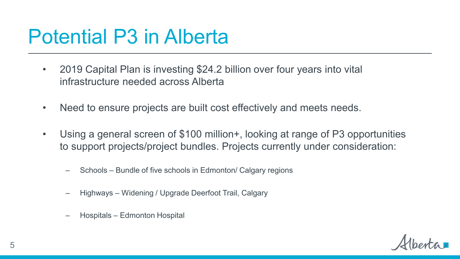#### Potential P3 in Alberta

- 2019 Capital Plan is investing \$24.2 billion over four years into vital infrastructure needed across Alberta
- Need to ensure projects are built cost effectively and meets needs.
- Using a general screen of \$100 million+, looking at range of P3 opportunities to support projects/project bundles. Projects currently under consideration:
	- Schools Bundle of five schools in Edmonton/ Calgary regions
	- Highways Widening / Upgrade Deerfoot Trail, Calgary
	- Hospitals Edmonton Hospital

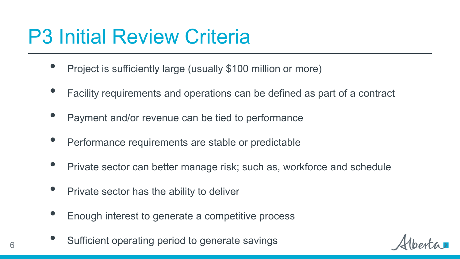## P3 Initial Review Criteria

- Project is sufficiently large (usually \$100 million or more)
- Facility requirements and operations can be defined as part of a contract
- Payment and/or revenue can be tied to performance
- Performance requirements are stable or predictable
- Private sector can better manage risk; such as, workforce and schedule
- Private sector has the ability to deliver
- Enough interest to generate a competitive process
- Sufficient operating period to generate savings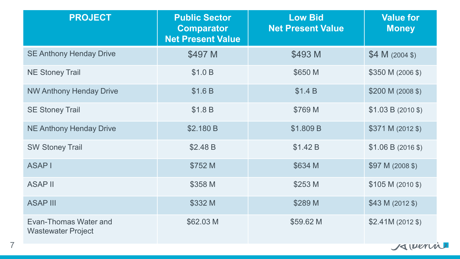| <b>PROJECT</b>                                     | <b>Public Sector</b><br><b>Comparator</b><br><b>Net Present Value</b> | <b>Low Bid</b><br><b>Net Present Value</b> | <b>Value for</b><br><b>Money</b> |
|----------------------------------------------------|-----------------------------------------------------------------------|--------------------------------------------|----------------------------------|
| <b>SE Anthony Henday Drive</b>                     | \$497 M                                                               | \$493 M                                    | $$4 M (2004 \text{ s})$          |
| <b>NE Stoney Trail</b>                             | \$1.0 B                                                               | \$650 M                                    | \$350 M (2006 \$)                |
| <b>NW Anthony Henday Drive</b>                     | \$1.6B                                                                | \$1.4 B                                    | \$200 M (2008 \$)                |
| <b>SE Stoney Trail</b>                             | \$1.8 B                                                               | \$769 M                                    | $$1.03 B (2010 \text{ s})$       |
| <b>NE Anthony Henday Drive</b>                     | \$2.180 B                                                             | \$1.809 B                                  | $$371 M (2012 \$                 |
| <b>SW Stoney Trail</b>                             | \$2.48 B                                                              | \$1.42 B                                   | \$1.06 B (2016 \$)               |
| <b>ASAPI</b>                                       | \$752 M                                                               | \$634 M                                    | \$97 M (2008 \$)                 |
| <b>ASAP II</b>                                     | \$358 M                                                               | \$253 M                                    | $$105 M (2010 \$                 |
| <b>ASAP III</b>                                    | \$332 M                                                               | \$289 M                                    | $$43 M (2012$ \$)                |
| Evan-Thomas Water and<br><b>Wastewater Project</b> | \$62.03 M                                                             | \$59.62 M                                  | $$2.41M(2012$ \$)                |